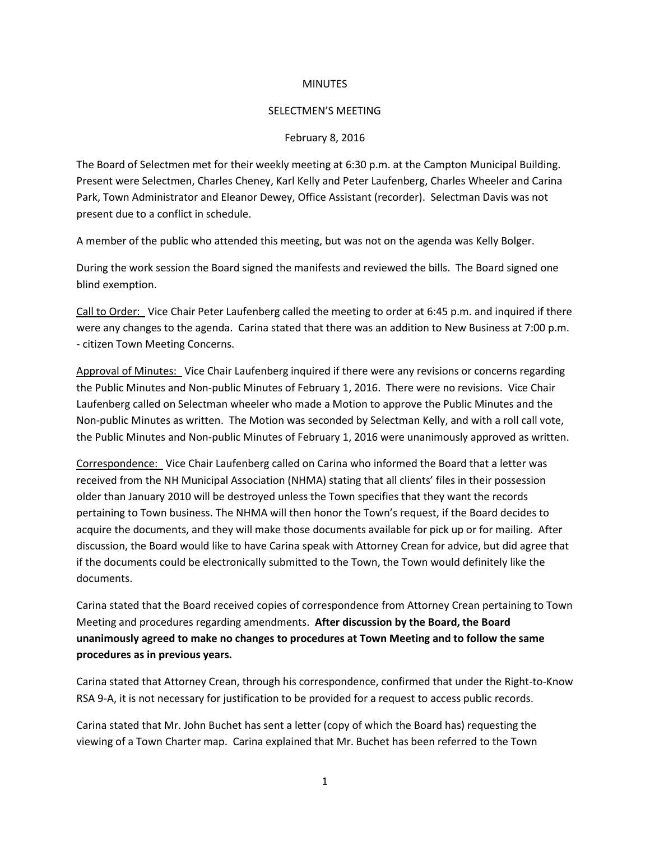## **MINUTES**

## SELECTMEN'S MEETING

## February 8, 2016

The Board of Selectmen met for their weekly meeting at 6:30 p.m. at the Campton Municipal Building. Present were Selectmen, Charles Cheney, Karl Kelly and Peter Laufenberg, Charles Wheeler and Carina Park, Town Administrator and Eleanor Dewey, Office Assistant (recorder). Selectman Davis was not present due to a conflict in schedule.

A member of the public who attended this meeting, but was not on the agenda was Kelly Bolger.

During the work session the Board signed the manifests and reviewed the bills. The Board signed one blind exemption.

Call to Order: Vice Chair Peter Laufenberg called the meeting to order at 6:45 p.m. and inquired if there were any changes to the agenda. Carina stated that there was an addition to New Business at 7:00 p.m. - citizen Town Meeting Concerns.

Approval of Minutes: Vice Chair Laufenberg inquired if there were any revisions or concerns regarding the Public Minutes and Non-public Minutes of February 1, 2016. There were no revisions. Vice Chair Laufenberg called on Selectman wheeler who made a Motion to approve the Public Minutes and the Non-public Minutes as written. The Motion was seconded by Selectman Kelly, and with a roll call vote, the Public Minutes and Non-public Minutes of February 1, 2016 were unanimously approved as written.

Correspondence: Vice Chair Laufenberg called on Carina who informed the Board that a letter was received from the NH Municipal Association (NHMA) stating that all clients' files in their possession older than January 2010 will be destroyed unless the Town specifies that they want the records pertaining to Town business. The NHMA will then honor the Town's request, if the Board decides to acquire the documents, and they will make those documents available for pick up or for mailing. After discussion, the Board would like to have Carina speak with Attorney Crean for advice, but did agree that if the documents could be electronically submitted to the Town, the Town would definitely like the documents.

Carina stated that the Board received copies of correspondence from Attorney Crean pertaining to Town Meeting and procedures regarding amendments. **After discussion by the Board, the Board unanimously agreed to make no changes to procedures at Town Meeting and to follow the same procedures as in previous years.**

Carina stated that Attorney Crean, through his correspondence, confirmed that under the Right-to-Know RSA 9-A, it is not necessary for justification to be provided for a request to access public records.

Carina stated that Mr. John Buchet has sent a letter (copy of which the Board has) requesting the viewing of a Town Charter map. Carina explained that Mr. Buchet has been referred to the Town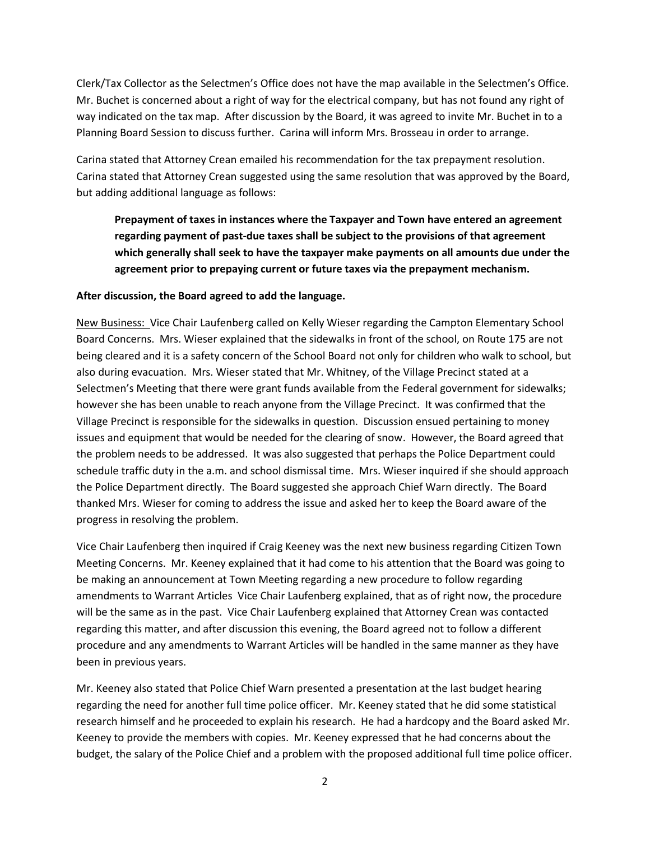Clerk/Tax Collector as the Selectmen's Office does not have the map available in the Selectmen's Office. Mr. Buchet is concerned about a right of way for the electrical company, but has not found any right of way indicated on the tax map. After discussion by the Board, it was agreed to invite Mr. Buchet in to a Planning Board Session to discuss further. Carina will inform Mrs. Brosseau in order to arrange.

Carina stated that Attorney Crean emailed his recommendation for the tax prepayment resolution. Carina stated that Attorney Crean suggested using the same resolution that was approved by the Board, but adding additional language as follows:

**Prepayment of taxes in instances where the Taxpayer and Town have entered an agreement regarding payment of past-due taxes shall be subject to the provisions of that agreement which generally shall seek to have the taxpayer make payments on all amounts due under the agreement prior to prepaying current or future taxes via the prepayment mechanism.** 

## **After discussion, the Board agreed to add the language.**

New Business: Vice Chair Laufenberg called on Kelly Wieser regarding the Campton Elementary School Board Concerns. Mrs. Wieser explained that the sidewalks in front of the school, on Route 175 are not being cleared and it is a safety concern of the School Board not only for children who walk to school, but also during evacuation. Mrs. Wieser stated that Mr. Whitney, of the Village Precinct stated at a Selectmen's Meeting that there were grant funds available from the Federal government for sidewalks; however she has been unable to reach anyone from the Village Precinct. It was confirmed that the Village Precinct is responsible for the sidewalks in question. Discussion ensued pertaining to money issues and equipment that would be needed for the clearing of snow. However, the Board agreed that the problem needs to be addressed. It was also suggested that perhaps the Police Department could schedule traffic duty in the a.m. and school dismissal time. Mrs. Wieser inquired if she should approach the Police Department directly. The Board suggested she approach Chief Warn directly. The Board thanked Mrs. Wieser for coming to address the issue and asked her to keep the Board aware of the progress in resolving the problem.

Vice Chair Laufenberg then inquired if Craig Keeney was the next new business regarding Citizen Town Meeting Concerns. Mr. Keeney explained that it had come to his attention that the Board was going to be making an announcement at Town Meeting regarding a new procedure to follow regarding amendments to Warrant Articles Vice Chair Laufenberg explained, that as of right now, the procedure will be the same as in the past. Vice Chair Laufenberg explained that Attorney Crean was contacted regarding this matter, and after discussion this evening, the Board agreed not to follow a different procedure and any amendments to Warrant Articles will be handled in the same manner as they have been in previous years.

Mr. Keeney also stated that Police Chief Warn presented a presentation at the last budget hearing regarding the need for another full time police officer. Mr. Keeney stated that he did some statistical research himself and he proceeded to explain his research. He had a hardcopy and the Board asked Mr. Keeney to provide the members with copies. Mr. Keeney expressed that he had concerns about the budget, the salary of the Police Chief and a problem with the proposed additional full time police officer.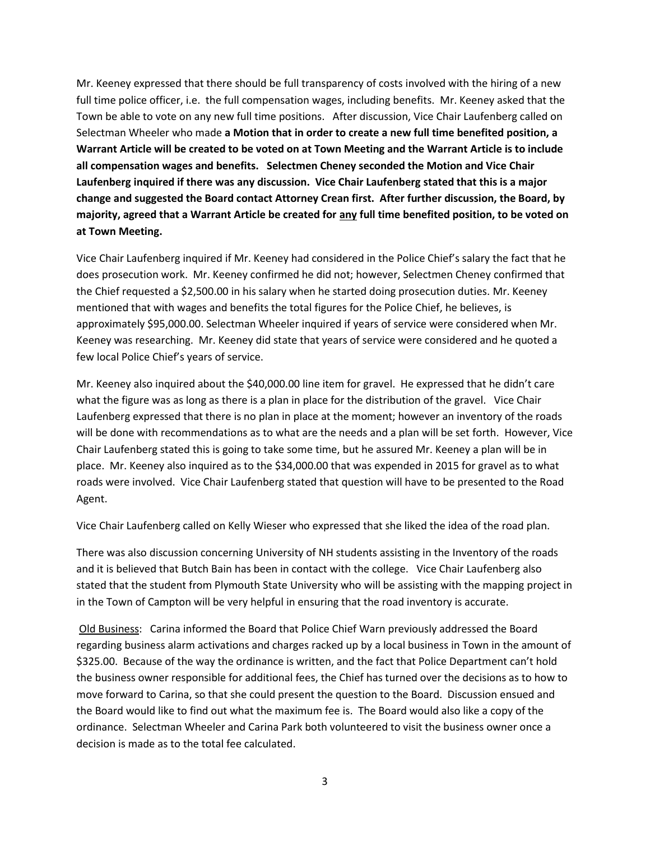Mr. Keeney expressed that there should be full transparency of costs involved with the hiring of a new full time police officer, i.e. the full compensation wages, including benefits. Mr. Keeney asked that the Town be able to vote on any new full time positions. After discussion, Vice Chair Laufenberg called on Selectman Wheeler who made **a Motion that in order to create a new full time benefited position, a Warrant Article will be created to be voted on at Town Meeting and the Warrant Article is to include all compensation wages and benefits. Selectmen Cheney seconded the Motion and Vice Chair Laufenberg inquired if there was any discussion. Vice Chair Laufenberg stated that this is a major change and suggested the Board contact Attorney Crean first. After further discussion, the Board, by majority, agreed that a Warrant Article be created for any full time benefited position, to be voted on at Town Meeting.**

Vice Chair Laufenberg inquired if Mr. Keeney had considered in the Police Chief's salary the fact that he does prosecution work. Mr. Keeney confirmed he did not; however, Selectmen Cheney confirmed that the Chief requested a \$2,500.00 in his salary when he started doing prosecution duties. Mr. Keeney mentioned that with wages and benefits the total figures for the Police Chief, he believes, is approximately \$95,000.00. Selectman Wheeler inquired if years of service were considered when Mr. Keeney was researching. Mr. Keeney did state that years of service were considered and he quoted a few local Police Chief's years of service.

Mr. Keeney also inquired about the \$40,000.00 line item for gravel. He expressed that he didn't care what the figure was as long as there is a plan in place for the distribution of the gravel. Vice Chair Laufenberg expressed that there is no plan in place at the moment; however an inventory of the roads will be done with recommendations as to what are the needs and a plan will be set forth. However, Vice Chair Laufenberg stated this is going to take some time, but he assured Mr. Keeney a plan will be in place. Mr. Keeney also inquired as to the \$34,000.00 that was expended in 2015 for gravel as to what roads were involved. Vice Chair Laufenberg stated that question will have to be presented to the Road Agent.

Vice Chair Laufenberg called on Kelly Wieser who expressed that she liked the idea of the road plan.

There was also discussion concerning University of NH students assisting in the Inventory of the roads and it is believed that Butch Bain has been in contact with the college. Vice Chair Laufenberg also stated that the student from Plymouth State University who will be assisting with the mapping project in in the Town of Campton will be very helpful in ensuring that the road inventory is accurate.

Old Business: Carina informed the Board that Police Chief Warn previously addressed the Board regarding business alarm activations and charges racked up by a local business in Town in the amount of \$325.00. Because of the way the ordinance is written, and the fact that Police Department can't hold the business owner responsible for additional fees, the Chief has turned over the decisions as to how to move forward to Carina, so that she could present the question to the Board. Discussion ensued and the Board would like to find out what the maximum fee is. The Board would also like a copy of the ordinance. Selectman Wheeler and Carina Park both volunteered to visit the business owner once a decision is made as to the total fee calculated.